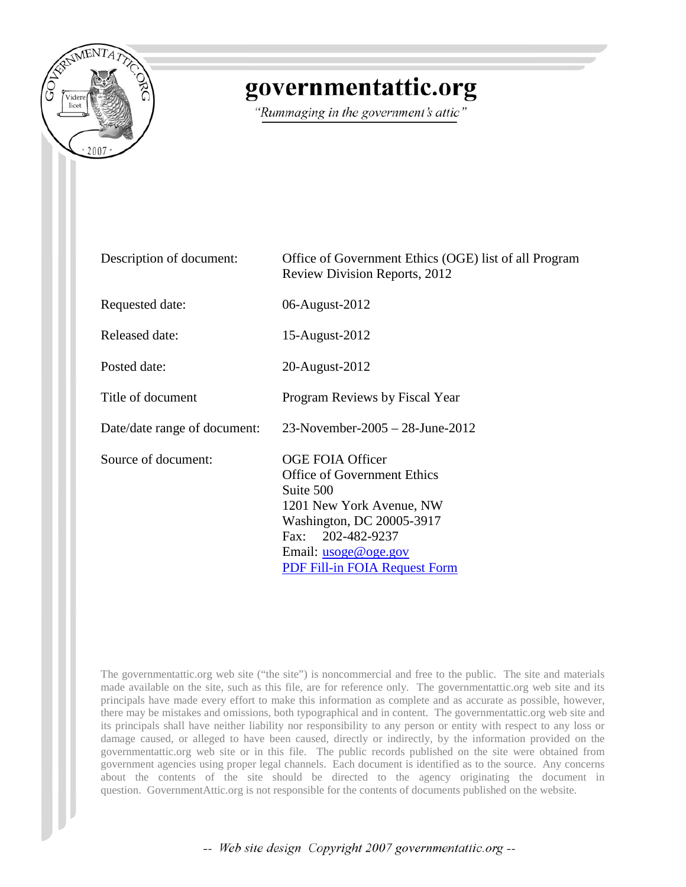

# governmentattic.org

"Rummaging in the government's attic"

| Description of document:     | Office of Government Ethics (OGE) list of all Program<br><b>Review Division Reports, 2012</b>                                                                                                                                   |
|------------------------------|---------------------------------------------------------------------------------------------------------------------------------------------------------------------------------------------------------------------------------|
| Requested date:              | 06-August-2012                                                                                                                                                                                                                  |
| <b>Released date:</b>        | 15-August-2012                                                                                                                                                                                                                  |
| Posted date:                 | 20-August-2012                                                                                                                                                                                                                  |
| Title of document            | Program Reviews by Fiscal Year                                                                                                                                                                                                  |
| Date/date range of document: | 23-November-2005 - 28-June-2012                                                                                                                                                                                                 |
| Source of document:          | <b>OGE FOIA Officer</b><br><b>Office of Government Ethics</b><br>Suite 500<br>1201 New York Avenue, NW<br>Washington, DC 20005-3917<br>Fax: 202-482-9237<br>Email: <u>usoge@oge.gov</u><br><b>PDF Fill-in FOIA Request Form</b> |

The governmentattic.org web site ("the site") is noncommercial and free to the public. The site and materials made available on the site, such as this file, are for reference only. The governmentattic.org web site and its principals have made every effort to make this information as complete and as accurate as possible, however, there may be mistakes and omissions, both typographical and in content. The governmentattic.org web site and its principals shall have neither liability nor responsibility to any person or entity with respect to any loss or damage caused, or alleged to have been caused, directly or indirectly, by the information provided on the governmentattic.org web site or in this file. The public records published on the site were obtained from government agencies using proper legal channels. Each document is identified as to the source. Any concerns about the contents of the site should be directed to the agency originating the document in question. GovernmentAttic.org is not responsible for the contents of documents published on the website.

-- Web site design Copyright 2007 governmentattic.org --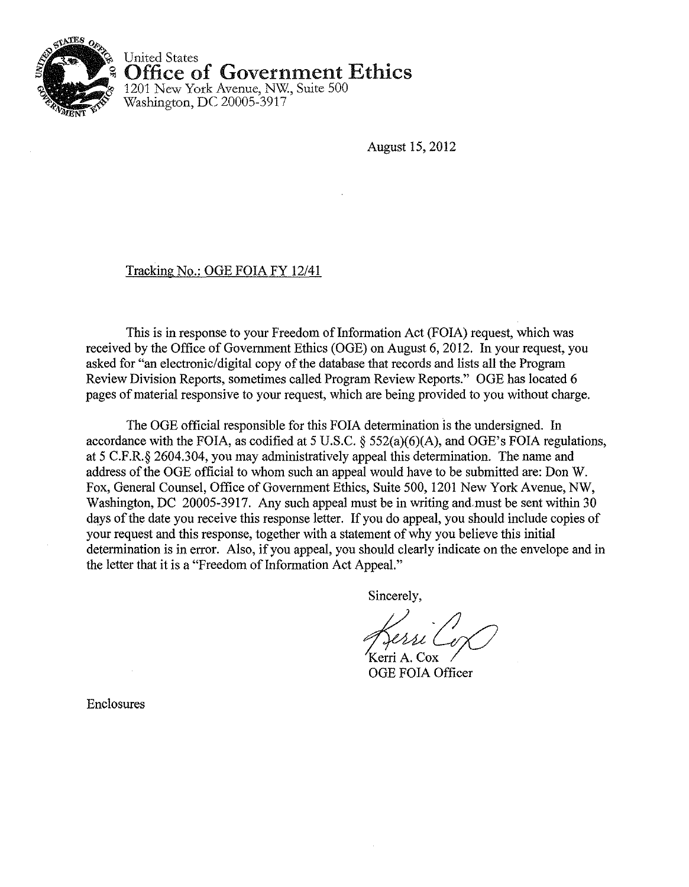

United States Office of Government Ethics

1201 New York Avenue, NW., Suite 500 Washington, DC 20005-3917

August 15,2012

### Tracking No.: OGE FOIA FY 12/41

This is in response to your Freedom of Information Act (FOIA) request, which was received by the Office of Govermnent Ethics (OGE) on August 6, 2012. In your request, you asked for "an electronic/digital copy of the database that records and lists all the Program Review Division Reports, sometimes called Program Review Reports." OGE has located 6 pages of material responsive to your request, which are being provided to you without charge.

The OGE official responsible for this FOIA determination is the undersigned. In accordance with the FOIA, as codified at 5 U.S.C.  $\S$  552(a)(6)(A), and OGE's FOIA regulations, at 5 C.F.R.§ 2604.304, you may administratively appeal this determination. The name and address of the OGE official to whom such an appeal would have to be submitted are: Don W. Fox, General Counsel, Office of Govermnent Ethics, Suite 500, 1201 New York Avenue, NW, Washington, DC 20005-3917. Any such appeal must be in writing and must be sent within 30 days of the date you receive this response letter. If you do appeal, you should include copies of your request and this response, together with a statement of why you believe this initial determination is in error. Also, if you appeal, you should clearly indicate on the envelope and in the letter that it is a "Freedom of Information Act Appeal."

Sincerely,

Kerri A. Cox OGE FOIA Officer

Enclosures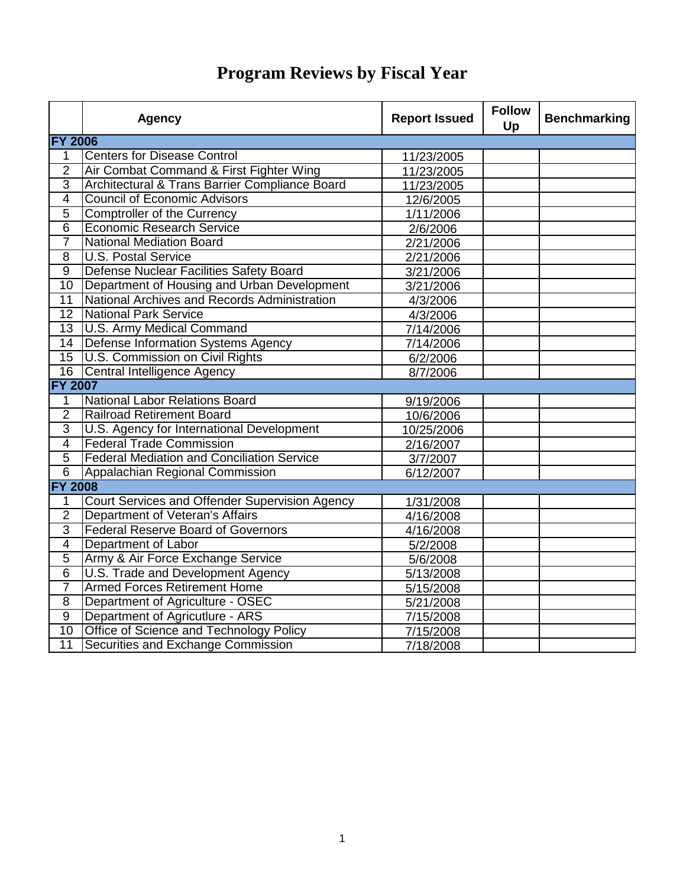|                 | <b>Agency</b>                                     | <b>Report Issued</b> | <b>Follow</b><br>Up | <b>Benchmarking</b> |
|-----------------|---------------------------------------------------|----------------------|---------------------|---------------------|
|                 | <b>FY 2006</b>                                    |                      |                     |                     |
| $\mathbf{1}$    | <b>Centers for Disease Control</b>                | 11/23/2005           |                     |                     |
| $\overline{2}$  | Air Combat Command & First Fighter Wing           | 11/23/2005           |                     |                     |
| $\overline{3}$  | Architectural & Trans Barrier Compliance Board    | 11/23/2005           |                     |                     |
| $\overline{4}$  | <b>Council of Economic Advisors</b>               | 12/6/2005            |                     |                     |
| $\overline{5}$  | <b>Comptroller of the Currency</b>                | 1/11/2006            |                     |                     |
| $\overline{6}$  | <b>Economic Research Service</b>                  | 2/6/2006             |                     |                     |
| $\overline{7}$  | <b>National Mediation Board</b>                   | 2/21/2006            |                     |                     |
| $\overline{8}$  | <b>U.S. Postal Service</b>                        | 2/21/2006            |                     |                     |
| $\overline{9}$  | Defense Nuclear Facilities Safety Board           | 3/21/2006            |                     |                     |
| 10              | Department of Housing and Urban Development       | 3/21/2006            |                     |                     |
| 11              | National Archives and Records Administration      | 4/3/2006             |                     |                     |
| $\overline{12}$ | National Park Service                             | 4/3/2006             |                     |                     |
| 13              | U.S. Army Medical Command                         | 7/14/2006            |                     |                     |
| 14              | Defense Information Systems Agency                | 7/14/2006            |                     |                     |
| $\overline{15}$ | U.S. Commission on Civil Rights                   | 6/2/2006             |                     |                     |
| 16              | Central Intelligence Agency                       | 8/7/2006             |                     |                     |
| <b>FY 2007</b>  |                                                   |                      |                     |                     |
| $\mathbf{1}$    | <b>National Labor Relations Board</b>             | 9/19/2006            |                     |                     |
| $\overline{2}$  | <b>Railroad Retirement Board</b>                  | 10/6/2006            |                     |                     |
| $\overline{3}$  | U.S. Agency for International Development         | 10/25/2006           |                     |                     |
| $\overline{4}$  | <b>Federal Trade Commission</b>                   | 2/16/2007            |                     |                     |
| $\overline{5}$  | <b>Federal Mediation and Conciliation Service</b> | 3/7/2007             |                     |                     |
| $\overline{6}$  | Appalachian Regional Commission                   | 6/12/2007            |                     |                     |
| <b>FY 2008</b>  |                                                   |                      |                     |                     |
| 1               | Court Services and Offender Supervision Agency    | 1/31/2008            |                     |                     |
| $\overline{2}$  | Department of Veteran's Affairs                   | 4/16/2008            |                     |                     |
| $\overline{3}$  | <b>Federal Reserve Board of Governors</b>         | 4/16/2008            |                     |                     |
| $\overline{4}$  | Department of Labor                               | 5/2/2008             |                     |                     |
| $\overline{5}$  | Army & Air Force Exchange Service                 | 5/6/2008             |                     |                     |
| $\overline{6}$  | U.S. Trade and Development Agency                 | 5/13/2008            |                     |                     |
| 7               | <b>Armed Forces Retirement Home</b>               | 5/15/2008            |                     |                     |
| 8               | Department of Agriculture - OSEC                  | 5/21/2008            |                     |                     |
| $\overline{9}$  | Department of Agricutlure - ARS                   | 7/15/2008            |                     |                     |
| $\overline{10}$ | Office of Science and Technology Policy           | 7/15/2008            |                     |                     |
| $\overline{11}$ | Securities and Exchange Commission                | 7/18/2008            |                     |                     |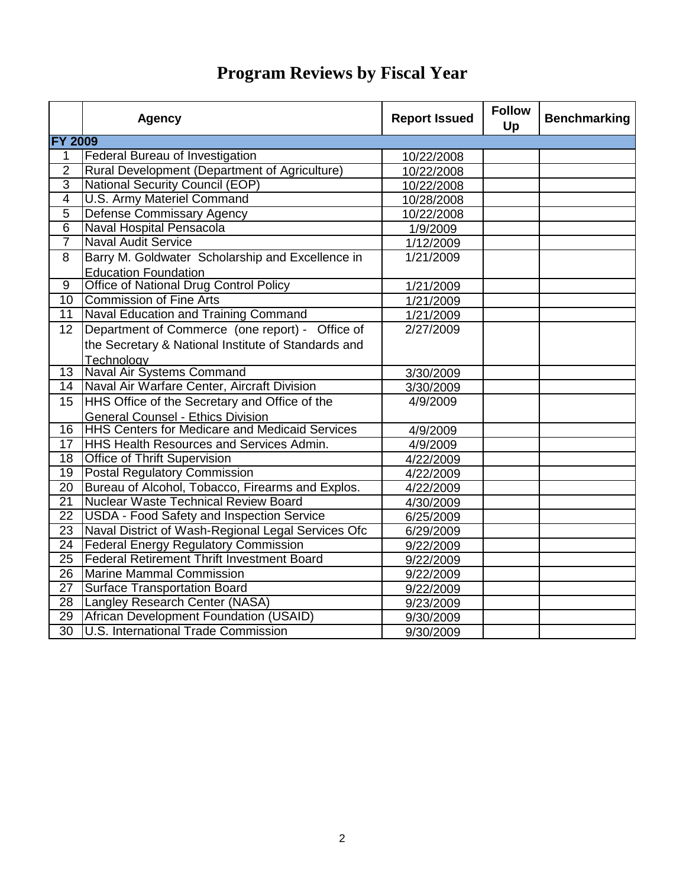|                  | <b>Agency</b>                                         | <b>Report Issued</b> | <b>Follow</b><br>Up | <b>Benchmarking</b> |
|------------------|-------------------------------------------------------|----------------------|---------------------|---------------------|
| <b>FY 2009</b>   |                                                       |                      |                     |                     |
| $\mathbf{1}$     | Federal Bureau of Investigation                       | 10/22/2008           |                     |                     |
| $\overline{2}$   | Rural Development (Department of Agriculture)         | 10/22/2008           |                     |                     |
| $\overline{3}$   | <b>National Security Council (EOP)</b>                | 10/22/2008           |                     |                     |
| $\overline{4}$   | <b>U.S. Army Materiel Command</b>                     | 10/28/2008           |                     |                     |
| $\overline{5}$   | <b>Defense Commissary Agency</b>                      | 10/22/2008           |                     |                     |
| $\overline{6}$   | Naval Hospital Pensacola                              | $\frac{1}{9/2009}$   |                     |                     |
| $\overline{7}$   | <b>Naval Audit Service</b>                            | 1/12/2009            |                     |                     |
| 8                | Barry M. Goldwater Scholarship and Excellence in      | 1/21/2009            |                     |                     |
|                  | <b>Education Foundation</b>                           |                      |                     |                     |
| $\overline{9}$   | Office of National Drug Control Policy                | 1/21/2009            |                     |                     |
| $\overline{10}$  | <b>Commission of Fine Arts</b>                        | 1/21/2009            |                     |                     |
| 11               | Naval Education and Training Command                  | 1/21/2009            |                     |                     |
| 12 <sup>°</sup>  | Department of Commerce (one report) - Office of       | 2/27/2009            |                     |                     |
|                  | the Secretary & National Institute of Standards and   |                      |                     |                     |
|                  | <b>Technology</b>                                     |                      |                     |                     |
| 13 <sup>1</sup>  | Naval Air Systems Command                             | 3/30/2009            |                     |                     |
| 14               | Naval Air Warfare Center, Aircraft Division           | 3/30/2009            |                     |                     |
| 15 <sub>15</sub> | <b>HHS Office of the Secretary and Office of the</b>  | 4/9/2009             |                     |                     |
|                  | <b>General Counsel - Ethics Division</b>              |                      |                     |                     |
| 16               | <b>HHS Centers for Medicare and Medicaid Services</b> | 4/9/2009             |                     |                     |
| 17 <sup>1</sup>  | <b>HHS Health Resources and Services Admin.</b>       | 4/9/2009             |                     |                     |
| $\overline{18}$  | <b>Office of Thrift Supervision</b>                   | 4/22/2009            |                     |                     |
| 19               | <b>Postal Regulatory Commission</b>                   | 4/22/2009            |                     |                     |
| $\overline{20}$  | Bureau of Alcohol, Tobacco, Firearms and Explos.      | 4/22/2009            |                     |                     |
| $\overline{21}$  | <b>Nuclear Waste Technical Review Board</b>           | 4/30/2009            |                     |                     |
| $\overline{22}$  | <b>USDA - Food Safety and Inspection Service</b>      | 6/25/2009            |                     |                     |
| $\overline{23}$  | Naval District of Wash-Regional Legal Services Ofc    | 6/29/2009            |                     |                     |
| $\overline{24}$  | <b>Federal Energy Regulatory Commission</b>           | 9/22/2009            |                     |                     |
| $\overline{25}$  | <b>Federal Retirement Thrift Investment Board</b>     | 9/22/2009            |                     |                     |
| $\overline{26}$  | Marine Mammal Commission                              | 9/22/2009            |                     |                     |
| $\overline{27}$  | <b>Surface Transportation Board</b>                   | 9/22/2009            |                     |                     |
| $\overline{28}$  | Langley Research Center (NASA)                        | 9/23/2009            |                     |                     |
| $\overline{29}$  | African Development Foundation (USAID)                | 9/30/2009            |                     |                     |
| $\overline{30}$  | <b>U.S. International Trade Commission</b>            | 9/30/2009            |                     |                     |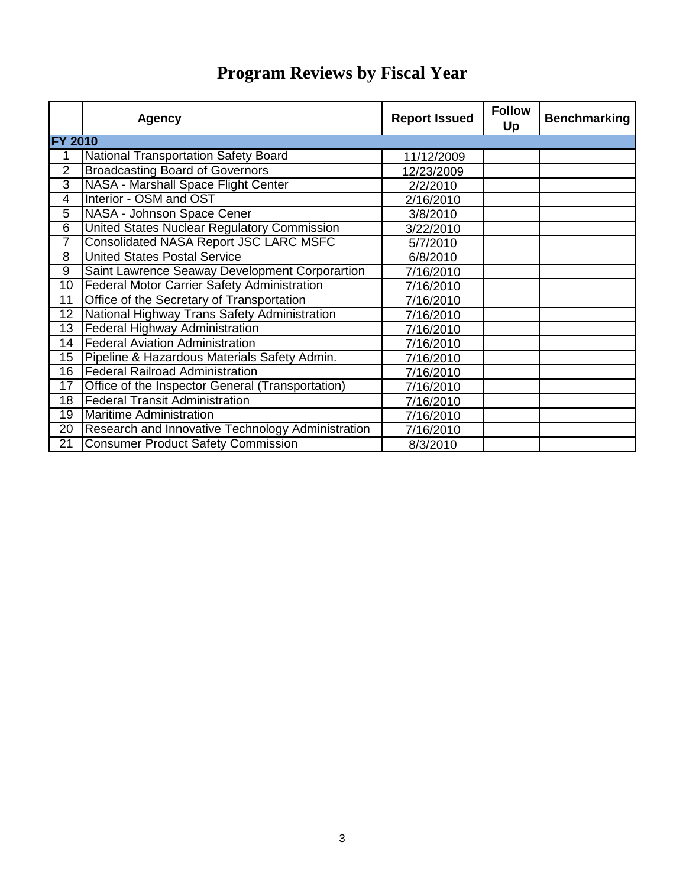|                 | <b>Agency</b>                                      | <b>Report Issued</b> | <b>Follow</b><br>Up | <b>Benchmarking</b> |
|-----------------|----------------------------------------------------|----------------------|---------------------|---------------------|
| <b>FY 2010</b>  |                                                    |                      |                     |                     |
| $\mathbf 1$     | National Transportation Safety Board               | 11/12/2009           |                     |                     |
| $\overline{2}$  | <b>Broadcasting Board of Governors</b>             | 12/23/2009           |                     |                     |
| 3               | NASA - Marshall Space Flight Center                | 2/2/2010             |                     |                     |
| $\overline{4}$  | Interior - OSM and OST                             | 2/16/2010            |                     |                     |
| 5               | NASA - Johnson Space Cener                         | 3/8/2010             |                     |                     |
| 6               | United States Nuclear Regulatory Commission        | 3/22/2010            |                     |                     |
| $\overline{7}$  | <b>Consolidated NASA Report JSC LARC MSFC</b>      | 5/7/2010             |                     |                     |
| $\overline{8}$  | <b>United States Postal Service</b>                | 6/8/2010             |                     |                     |
| 9               | Saint Lawrence Seaway Development Corporartion     | 7/16/2010            |                     |                     |
| 10              | <b>Federal Motor Carrier Safety Administration</b> | 7/16/2010            |                     |                     |
| 11              | Office of the Secretary of Transportation          | 7/16/2010            |                     |                     |
| 12              | National Highway Trans Safety Administration       | 7/16/2010            |                     |                     |
| 13              | <b>Federal Highway Administration</b>              | 7/16/2010            |                     |                     |
| 14              | <b>Federal Aviation Administration</b>             | 7/16/2010            |                     |                     |
| 15              | Pipeline & Hazardous Materials Safety Admin.       | 7/16/2010            |                     |                     |
| $\overline{16}$ | <b>Federal Railroad Administration</b>             | 7/16/2010            |                     |                     |
| 17              | Office of the Inspector General (Transportation)   | 7/16/2010            |                     |                     |
| 18              | <b>Federal Transit Administration</b>              | 7/16/2010            |                     |                     |
| 19              | Maritime Administration                            | 7/16/2010            |                     |                     |
| $\overline{20}$ | Research and Innovative Technology Administration  | 7/16/2010            |                     |                     |
| 21              | <b>Consumer Product Safety Commission</b>          | 8/3/2010             |                     |                     |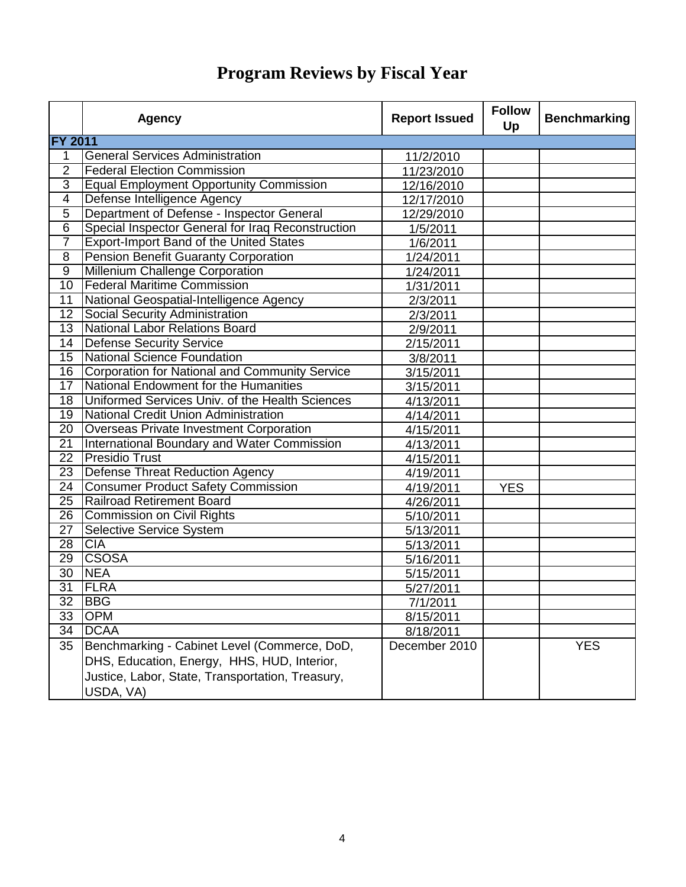|                 | <b>Agency</b>                                     | <b>Report Issued</b> | <b>Follow</b><br>Up | <b>Benchmarking</b> |
|-----------------|---------------------------------------------------|----------------------|---------------------|---------------------|
| <b>FY 2011</b>  |                                                   |                      |                     |                     |
| 1               | <b>General Services Administration</b>            | 11/2/2010            |                     |                     |
| $\overline{2}$  | <b>Federal Election Commission</b>                | 11/23/2010           |                     |                     |
| $\overline{3}$  | <b>Equal Employment Opportunity Commission</b>    | 12/16/2010           |                     |                     |
| $\overline{4}$  | Defense Intelligence Agency                       | 12/17/2010           |                     |                     |
| $\overline{5}$  | Department of Defense - Inspector General         | 12/29/2010           |                     |                     |
| $\overline{6}$  | Special Inspector General for Iraq Reconstruction | 1/5/2011             |                     |                     |
| $\overline{7}$  | <b>Export-Import Band of the United States</b>    | 1/6/2011             |                     |                     |
| $\overline{8}$  | <b>Pension Benefit Guaranty Corporation</b>       | 1/24/2011            |                     |                     |
| $\overline{9}$  | Millenium Challenge Corporation                   | 1/24/2011            |                     |                     |
| 10              | <b>Federal Maritime Commission</b>                | 1/31/2011            |                     |                     |
| 11              | National Geospatial-Intelligence Agency           | 2/3/2011             |                     |                     |
| $\overline{12}$ | Social Security Administration                    | 2/3/2011             |                     |                     |
| $\overline{13}$ | National Labor Relations Board                    | 2/9/2011             |                     |                     |
| 14              | Defense Security Service                          | 2/15/2011            |                     |                     |
| $\overline{15}$ | National Science Foundation                       | 3/8/2011             |                     |                     |
| $\overline{16}$ | Corporation for National and Community Service    | 3/15/2011            |                     |                     |
| 17              | National Endowment for the Humanities             | 3/15/2011            |                     |                     |
| 18              | Uniformed Services Univ. of the Health Sciences   | 4/13/2011            |                     |                     |
| 19              | National Credit Union Administration              | 4/14/2011            |                     |                     |
| $\overline{20}$ | <b>Overseas Private Investment Corporation</b>    | 4/15/2011            |                     |                     |
| $\overline{21}$ | International Boundary and Water Commission       | 4/13/2011            |                     |                     |
| $\overline{22}$ | <b>Presidio Trust</b>                             | 4/15/2011            |                     |                     |
| 23              | Defense Threat Reduction Agency                   | 4/19/2011            |                     |                     |
| $\overline{24}$ | <b>Consumer Product Safety Commission</b>         | 4/19/2011            | <b>YES</b>          |                     |
| $\overline{25}$ | <b>Railroad Retirement Board</b>                  | 4/26/2011            |                     |                     |
| 26              | <b>Commission on Civil Rights</b>                 | 5/10/2011            |                     |                     |
| $\overline{27}$ | Selective Service System                          | 5/13/2011            |                     |                     |
| $\overline{28}$ | <b>CIA</b>                                        | 5/13/2011            |                     |                     |
| $\overline{29}$ | <b>CSOSA</b>                                      | 5/16/2011            |                     |                     |
| $\overline{30}$ | <b>NEA</b>                                        | 5/15/2011            |                     |                     |
| $\overline{31}$ | <b>FLRA</b>                                       | 5/27/2011            |                     |                     |
| $\overline{32}$ | <b>BBG</b>                                        | 7/1/2011             |                     |                     |
| 33              | <b>OPM</b>                                        | 8/15/2011            |                     |                     |
| 34              | <b>DCAA</b>                                       | 8/18/2011            |                     |                     |
| 35              | Benchmarking - Cabinet Level (Commerce, DoD,      | December 2010        |                     | <b>YES</b>          |
|                 | DHS, Education, Energy, HHS, HUD, Interior,       |                      |                     |                     |
|                 | Justice, Labor, State, Transportation, Treasury,  |                      |                     |                     |
|                 | USDA, VA)                                         |                      |                     |                     |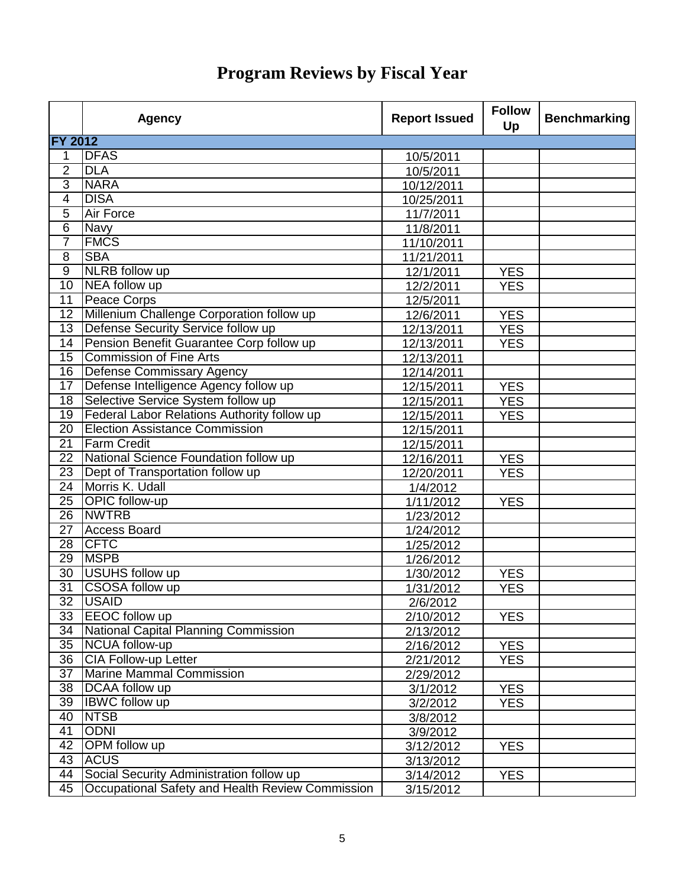|                 | <b>Agency</b>                                      | <b>Report Issued</b>    | <b>Follow</b><br>Up | <b>Benchmarking</b> |
|-----------------|----------------------------------------------------|-------------------------|---------------------|---------------------|
| <b>FY 2012</b>  |                                                    |                         |                     |                     |
| 1               | <b>DFAS</b>                                        | 10/5/2011               |                     |                     |
| $\overline{2}$  | <b>DLA</b>                                         | 10/5/2011               |                     |                     |
| $\overline{3}$  | <b>NARA</b>                                        | 10/12/2011              |                     |                     |
| $\overline{4}$  | <b>DISA</b>                                        | 10/25/2011              |                     |                     |
| $\overline{5}$  | <b>Air Force</b>                                   | 11/7/2011               |                     |                     |
| $\overline{6}$  | <b>Navy</b>                                        | 11/8/2011               |                     |                     |
| $\overline{7}$  | <b>FMCS</b>                                        | 11/10/2011              |                     |                     |
| $\overline{8}$  | <b>SBA</b>                                         | 11/21/2011              |                     |                     |
| $\overline{9}$  | <b>NLRB</b> follow up                              | 12/1/2011               | <b>YES</b>          |                     |
| $\overline{10}$ | NEA follow up                                      | 12/2/2011               | <b>YES</b>          |                     |
| 11              | Peace Corps                                        | 12/5/2011               |                     |                     |
| $\overline{12}$ | Millenium Challenge Corporation follow up          | 12/6/2011               | <b>YES</b>          |                     |
| 13              | Defense Security Service follow up                 | 12/13/2011              | <b>YES</b>          |                     |
| 14              | Pension Benefit Guarantee Corp follow up           | 12/13/2011              | <b>YES</b>          |                     |
| 15              | <b>Commission of Fine Arts</b>                     | 12/13/2011              |                     |                     |
| $\overline{16}$ | Defense Commissary Agency                          | 12/14/2011              |                     |                     |
| 17              | Defense Intelligence Agency follow up              | 12/15/2011              | <b>YES</b>          |                     |
| 18              | Selective Service System follow up                 | 12/15/2011              | <b>YES</b>          |                     |
| 19              | <b>Federal Labor Relations Authority follow up</b> | 12/15/2011              | <b>YES</b>          |                     |
| 20              | <b>Election Assistance Commission</b>              | 12/15/2011              |                     |                     |
| 21              | <b>Farm Credit</b>                                 | $\overline{12}/15/2011$ |                     |                     |
| 22              | National Science Foundation follow up              | 12/16/2011              | <b>YES</b>          |                     |
| 23              | Dept of Transportation follow up                   | 12/20/2011              | <b>YES</b>          |                     |
| $\overline{24}$ | Morris K. Udall                                    | 1/4/2012                |                     |                     |
| 25              | <b>OPIC</b> follow-up                              | 1/11/2012               | <b>YES</b>          |                     |
| $\overline{26}$ | <b>NWTRB</b>                                       | 1/23/2012               |                     |                     |
| 27              | <b>Access Board</b>                                | 1/24/2012               |                     |                     |
| 28              | <b>CFTC</b>                                        | 1/25/2012               |                     |                     |
| 29              | <b>MSPB</b>                                        | 1/26/2012               |                     |                     |
| 30              | <b>USUHS follow up</b>                             | 1/30/2012               | <b>YES</b>          |                     |
| $\overline{31}$ | <b>CSOSA follow up</b>                             | 1/31/2012               | <b>YES</b>          |                     |
|                 | 32 USAID                                           | 2/6/2012                |                     |                     |
| 33              | <b>EEOC</b> follow up                              | 2/10/2012               | <b>YES</b>          |                     |
| 34              | National Capital Planning Commission               | 2/13/2012               |                     |                     |
| 35              | NCUA follow-up                                     | 2/16/2012               | <b>YES</b>          |                     |
| 36              | CIA Follow-up Letter                               | 2/21/2012               | <b>YES</b>          |                     |
| 37              | Marine Mammal Commission                           | 2/29/2012               |                     |                     |
| 38              | DCAA follow up                                     | 3/1/2012                | <b>YES</b>          |                     |
| 39              | <b>IBWC</b> follow up                              | 3/2/2012                | <b>YES</b>          |                     |
| 40              | <b>NTSB</b>                                        | 3/8/2012                |                     |                     |
| 41              | <b>ODNI</b>                                        | 3/9/2012                |                     |                     |
| 42              | <b>OPM</b> follow up                               | 3/12/2012               | <b>YES</b>          |                     |
| 43              | <b>ACUS</b>                                        | 3/13/2012               |                     |                     |
| 44              | Social Security Administration follow up           |                         |                     |                     |
| 45              | Occupational Safety and Health Review Commission   | 3/14/2012               | <b>YES</b>          |                     |
|                 |                                                    | 3/15/2012               |                     |                     |